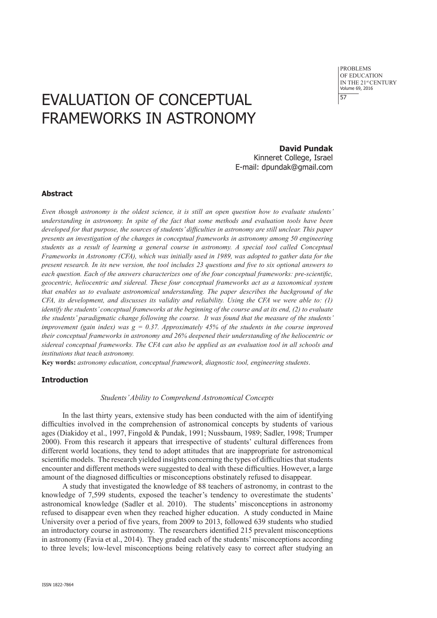## EVALUATION OF CONCEPTUAL FRAMEWORKS IN ASTRONOMY

**David Pundak**

Kinneret College, Israel E-mail: dpundak@gmail.com

#### **Abstract**

*Even though astronomy is the oldest science, it is still an open question how to evaluate students' understanding in astronomy. In spite of the fact that some methods and evaluation tools have been developed for that purpose, the sources of students' difficulties in astronomy are still unclear. This paper presents an investigation of the changes in conceptual frameworks in astronomy among 50 engineering students as a result of learning a general course in astronomy. A special tool called Conceptual Frameworks in Astronomy (CFA), which was initially used in 1989, was adopted to gather data for the present research. In its new version, the tool includes 23 questions and five to six optional answers to each question. Each of the answers characterizes one of the four conceptual frameworks: pre-scientific, geocentric, heliocentric and sidereal. These four conceptual frameworks act as a taxonomical system that enables us to evaluate astronomical understanding. The paper describes the background of the CFA, its development, and discusses its validity and reliability. Using the CFA we were able to: (1) identify the students' conceptual frameworks at the beginning of the course and at its end, (2) to evaluate the students' paradigmatic change following the course. It was found that the measure of the students' improvement (gain index) was*  $g = 0.37$ *. Approximately 45% of the students in the course improved their conceptual frameworks in astronomy and 26% deepened their understanding of the heliocentric or sidereal conceptual frameworks. The CFA can also be applied as an evaluation tool in all schools and institutions that teach astronomy.*

**Key words:** *astronomy education, conceptual framework, diagnostic tool, engineering students*.

#### **Introduction**

#### *Students' Ability to Comprehend Astronomical Concepts*

In the last thirty years, extensive study has been conducted with the aim of identifying difficulties involved in the comprehension of astronomical concepts by students of various ages (Diakidoy et al., 1997, Fingold & Pundak, 1991; Nussbaum, 1989; Sadler, 1998; Trumper 2000). From this research it appears that irrespective of students' cultural differences from different world locations, they tend to adopt attitudes that are inappropriate for astronomical scientific models. The research yielded insights concerning the types of difficulties that students encounter and different methods were suggested to deal with these difficulties. However, a large amount of the diagnosed difficulties or misconceptions obstinately refused to disappear.

A study that investigated the knowledge of 88 teachers of astronomy, in contrast to the knowledge of 7,599 students, exposed the teacher's tendency to overestimate the students' astronomical knowledge (Sadler et al. 2010). The students' misconceptions in astronomy refused to disappear even when they reached higher education. A study conducted in Maine University over a period of five years, from 2009 to 2013, followed 639 students who studied an introductory course in astronomy. The researchers identified 215 prevalent misconceptions in astronomy (Favia et al., 2014). They graded each of the students' misconceptions according to three levels; low-level misconceptions being relatively easy to correct after studying an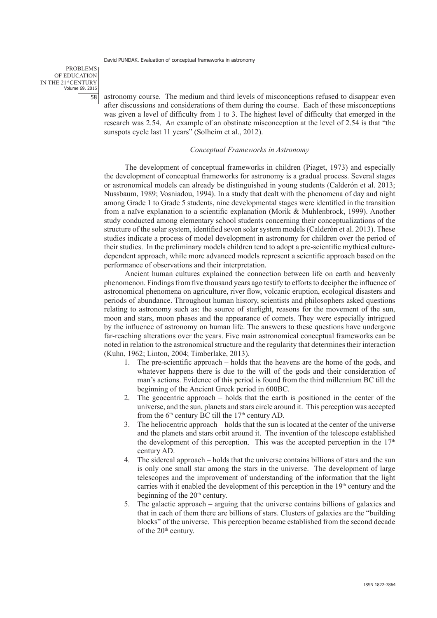PROBLEMS OF EDUCATION IN THE 21st CENTURY Volume 69, 2016 58

astronomy course. The medium and third levels of misconceptions refused to disappear even after discussions and considerations of them during the course. Each of these misconceptions was given a level of difficulty from 1 to 3. The highest level of difficulty that emerged in the research was 2.54. An example of an obstinate misconception at the level of 2.54 is that "the sunspots cycle last 11 years" (Solheim et al., 2012).

#### *Conceptual Frameworks in Astronomy*

The development of conceptual frameworks in children (Piaget, 1973) and especially the development of conceptual frameworks for astronomy is a gradual process. Several stages or astronomical models can already be distinguished in young students (Calderón et al. 2013; Nussbaum, 1989; Vosniadou, 1994). In a study that dealt with the phenomena of day and night among Grade 1 to Grade 5 students, nine developmental stages were identified in the transition from a naïve explanation to a scientific explanation (Morik & Muhlenbrock, 1999). Another study conducted among elementary school students concerning their conceptualizations of the structure of the solar system, identified seven solar system models (Calderón et al. 2013). These studies indicate a process of model development in astronomy for children over the period of their studies. In the preliminary models children tend to adopt a pre-scientific mythical culturedependent approach, while more advanced models represent a scientific approach based on the performance of observations and their interpretation.

Ancient human cultures explained the connection between life on earth and heavenly phenomenon. Findings from five thousand years ago testify to efforts to decipher the influence of astronomical phenomena on agriculture, river flow, volcanic eruption, ecological disasters and periods of abundance. Throughout human history, scientists and philosophers asked questions relating to astronomy such as: the source of starlight, reasons for the movement of the sun, moon and stars, moon phases and the appearance of comets. They were especially intrigued by the influence of astronomy on human life. The answers to these questions have undergone far-reaching alterations over the years. Five main astronomical conceptual frameworks can be noted in relation to the astronomical structure and the regularity that determines their interaction (Kuhn, 1962; Linton, 2004; Timberlake, 2013).

- 1. The pre-scientific approach holds that the heavens are the home of the gods, and whatever happens there is due to the will of the gods and their consideration of man's actions. Evidence of this period is found from the third millennium BC till the beginning of the Ancient Greek period in 600BC.
- 2. The geocentric approach holds that the earth is positioned in the center of the universe, and the sun, planets and stars circle around it. This perception was accepted from the  $6<sup>th</sup>$  century BC till the  $17<sup>th</sup>$  century AD.
- 3. The heliocentric approach holds that the sun is located at the center of the universe and the planets and stars orbit around it. The invention of the telescope established the development of this perception. This was the accepted perception in the  $17<sup>th</sup>$ century AD.
- 4. The sidereal approach holds that the universe contains billions of stars and the sun is only one small star among the stars in the universe. The development of large telescopes and the improvement of understanding of the information that the light carries with it enabled the development of this perception in the  $19<sup>th</sup>$  century and the beginning of the 20<sup>th</sup> century.
- 5. The galactic approach arguing that the universe contains billions of galaxies and that in each of them there are billions of stars. Clusters of galaxies are the "building blocks" of the universe. This perception became established from the second decade of the 20<sup>th</sup> century.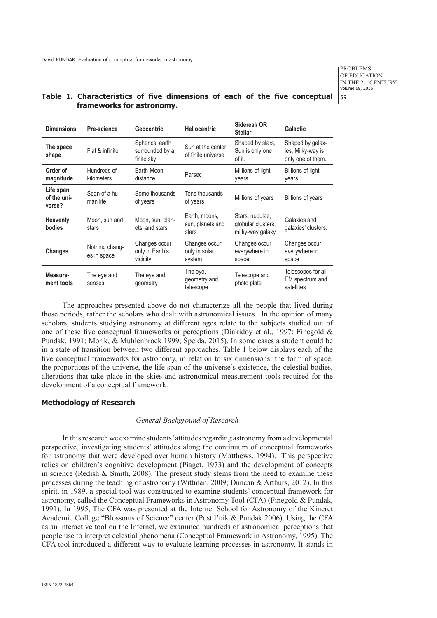## **Table 1. Characteristics of five dimensions of each of the five conceptual frameworks for astronomy.**

| <b>Dimensions</b>                  | Pre-science                   | <b>Geocentric</b>                                | <b>Heliocentric</b>                        | Sidereal/OR<br><b>Stellar</b>                             | Galactic                                                   |
|------------------------------------|-------------------------------|--------------------------------------------------|--------------------------------------------|-----------------------------------------------------------|------------------------------------------------------------|
| The space<br>shape                 | Flat & infinite               | Spherical earth<br>surrounded by a<br>finite sky | Sun at the center<br>of finite universe    | Shaped by stars,<br>Sun is only one<br>of it.             | Shaped by galax-<br>ies, Milky-way is<br>only one of them. |
| Order of<br>magnitude              | Hundreds of<br>kilometers     | Farth-Moon<br>distance                           | Parsec                                     | Millions of light<br>years                                | Billions of light<br>years                                 |
| Life span<br>of the uni-<br>verse? | Span of a hu-<br>man life     | Some thousands<br>of years                       | Tens thousands<br>of years                 | Millions of years                                         | <b>Billions of years</b>                                   |
| <b>Heavenly</b><br>bodies          | Moon, sun and<br>stars        | Moon, sun, plan-<br>ets and stars                | Earth, moons,<br>sun, planets and<br>stars | Stars, nebulae,<br>globular clusters,<br>milky-way galaxy | Galaxies and<br>galaxies' clusters.                        |
| Changes                            | Nothing chang-<br>es in space | Changes occur<br>only in Earth's<br>vicinity     | Changes occur<br>only in solar<br>system   | Changes occur<br>everywhere in<br>space                   | Changes occur<br>everywhere in<br>space                    |
| Measure-<br>ment tools             | The eye and<br>senses         | The eye and<br>geometry                          | The eye,<br>geometry and<br>telescope      | Telescope and<br>photo plate                              | Telescopes for all<br>EM spectrum and<br>satellites        |

The approaches presented above do not characterize all the people that lived during those periods, rather the scholars who dealt with astronomical issues. In the opinion of many scholars, students studying astronomy at different ages relate to the subjects studied out of one of these five conceptual frameworks or perceptions (Diakidoy et al., 1997; Finegold & Pundak, 1991; Morik, & Muhlenbrock 1999; Špelda, 2015). In some cases a student could be in a state of transition between two different approaches. Table 1 below displays each of the five conceptual frameworks for astronomy, in relation to six dimensions: the form of space, the proportions of the universe, the life span of the universe's existence, the celestial bodies, alterations that take place in the skies and astronomical measurement tools required for the development of a conceptual framework.

#### **Methodology of Research**

## *General Background of Research*

In this research we examine students' attitudes regarding astronomy from a developmental perspective, investigating students' attitudes along the continuum of conceptual frameworks for astronomy that were developed over human history (Matthews, 1994). This perspective relies on children's cognitive development (Piaget, 1973) and the development of concepts in science (Redish  $\&$  Smith, 2008). The present study stems from the need to examine these processes during the teaching of astronomy (Wittman, 2009; Duncan & Arthurs, 2012). In this spirit, in 1989, a special tool was constructed to examine students' conceptual framework for astronomy, called the Conceptual Frameworks in Astronomy Tool (CFA) (Finegold & Pundak, 1991). In 1995, The CFA was presented at the Internet School for Astronomy of the Kineret Academic College "Blossoms of Science" center (Pustil'nik & Pundak 2006). Using the CFA as an interactive tool on the Internet, we examined hundreds of astronomical perceptions that people use to interpret celestial phenomena (Conceptual Framework in Astronomy, 1995). The CFA tool introduced a different way to evaluate learning processes in astronomy. It stands in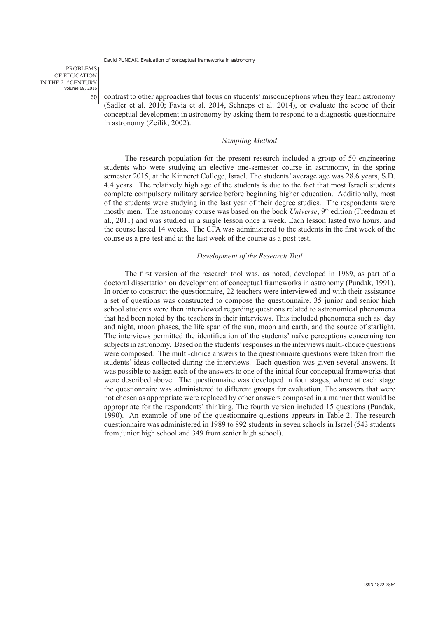PROBLEMS OF EDUCATION IN THE 21st CENTURY Volume 69, 2016  $\overline{60}$ 

contrast to other approaches that focus on students' misconceptions when they learn astronomy (Sadler et al. 2010; Favia et al. 2014, Schneps et al. 2014), or evaluate the scope of their conceptual development in astronomy by asking them to respond to a diagnostic questionnaire in astronomy (Zeilik, 2002).

## *Sampling Method*

The research population for the present research included a group of 50 engineering students who were studying an elective one-semester course in astronomy, in the spring semester 2015, at the Kinneret College, Israel. The students' average age was 28.6 years, S.D. 4.4 years. The relatively high age of the students is due to the fact that most Israeli students complete compulsory military service before beginning higher education. Additionally, most of the students were studying in the last year of their degree studies. The respondents were mostly men. The astronomy course was based on the book *Universe*, 9<sup>th</sup> edition (Freedman et al., 2011) and was studied in a single lesson once a week. Each lesson lasted two hours, and the course lasted 14 weeks. The CFA was administered to the students in the first week of the course as a pre-test and at the last week of the course as a post-test.

#### *Development of the Research Tool*

The first version of the research tool was, as noted, developed in 1989, as part of a doctoral dissertation on development of conceptual frameworks in astronomy (Pundak, 1991). In order to construct the questionnaire, 22 teachers were interviewed and with their assistance a set of questions was constructed to compose the questionnaire. 35 junior and senior high school students were then interviewed regarding questions related to astronomical phenomena that had been noted by the teachers in their interviews. This included phenomena such as: day and night, moon phases, the life span of the sun, moon and earth, and the source of starlight. The interviews permitted the identification of the students' naïve perceptions concerning ten subjects in astronomy. Based on the students' responses in the interviews multi-choice questions were composed. The multi-choice answers to the questionnaire questions were taken from the students' ideas collected during the interviews. Each question was given several answers. It was possible to assign each of the answers to one of the initial four conceptual frameworks that were described above. The questionnaire was developed in four stages, where at each stage the questionnaire was administered to different groups for evaluation. The answers that were not chosen as appropriate were replaced by other answers composed in a manner that would be appropriate for the respondents' thinking. The fourth version included 15 questions (Pundak, 1990). An example of one of the questionnaire questions appears in Table 2. The research questionnaire was administered in 1989 to 892 students in seven schools in Israel (543 students from junior high school and 349 from senior high school).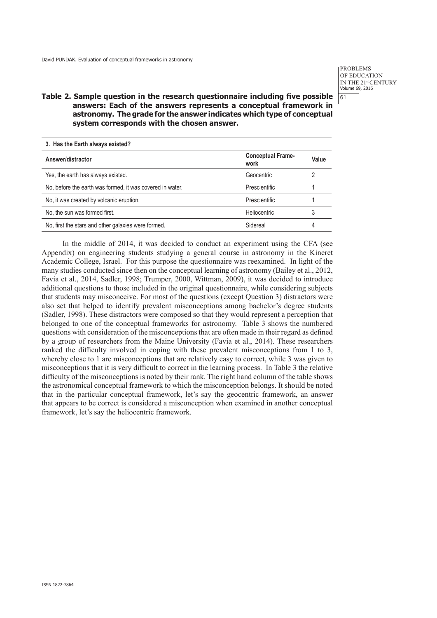## **Table 2. Sample question in the research questionnaire including five possible answers: Each of the answers represents a conceptual framework in astronomy. The grade for the answer indicates which type of conceptual system corresponds with the chosen answer.**

| 3. Has the Earth always existed? |       |  |  |  |  |
|----------------------------------|-------|--|--|--|--|
| <b>Conceptual Frame-</b><br>work | Value |  |  |  |  |
| Geocentric                       |       |  |  |  |  |
| <b>Prescientific</b>             |       |  |  |  |  |
| Prescientific                    |       |  |  |  |  |
| <b>Heliocentric</b>              | 3     |  |  |  |  |
| Sidereal                         | 4     |  |  |  |  |
|                                  |       |  |  |  |  |

In the middle of 2014, it was decided to conduct an experiment using the CFA (see Appendix) on engineering students studying a general course in astronomy in the Kineret Academic College, Israel. For this purpose the questionnaire was reexamined. In light of the many studies conducted since then on the conceptual learning of astronomy (Bailey et al., 2012, Favia et al., 2014, Sadler, 1998; Trumper, 2000, Wittman, 2009), it was decided to introduce additional questions to those included in the original questionnaire, while considering subjects that students may misconceive. For most of the questions (except Question 3) distractors were also set that helped to identify prevalent misconceptions among bachelor's degree students (Sadler, 1998). These distractors were composed so that they would represent a perception that belonged to one of the conceptual frameworks for astronomy. Table 3 shows the numbered questions with consideration of the misconceptions that are often made in their regard as defined by a group of researchers from the Maine University (Favia et al., 2014). These researchers ranked the difficulty involved in coping with these prevalent misconceptions from 1 to 3, whereby close to 1 are misconceptions that are relatively easy to correct, while 3 was given to misconceptions that it is very difficult to correct in the learning process. In Table 3 the relative difficulty of the misconceptions is noted by their rank. The right hand column of the table shows the astronomical conceptual framework to which the misconception belongs. It should be noted that in the particular conceptual framework, let's say the geocentric framework, an answer that appears to be correct is considered a misconception when examined in another conceptual framework, let's say the heliocentric framework.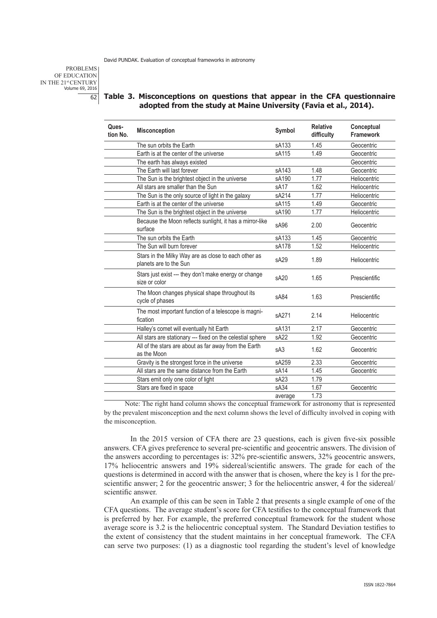PROBLEMS OF EDUCATION IN THE 21st CENTURY Volume 69, 2016 62

## **Table 3. Misconceptions on questions that appear in the CFA questionnaire adopted from the study at Maine University (Favia et al., 2014).**

| Ques-<br>tion No. | <b>Misconception</b>                                                           | Symbol           | <b>Relative</b><br>difficulty | Conceptual<br><b>Framework</b> |
|-------------------|--------------------------------------------------------------------------------|------------------|-------------------------------|--------------------------------|
|                   | The sun orbits the Earth                                                       | sA133            | 1.45                          | Geocentric                     |
|                   | Earth is at the center of the universe                                         | sA115            | 1.49                          | Geocentric                     |
|                   | The earth has always existed                                                   |                  |                               | Geocentric                     |
|                   | The Earth will last forever                                                    | sA143            | 1.48                          | Geocentric                     |
|                   | The Sun is the brightest object in the universe                                | sA190            | 1.77                          | Heliocentric                   |
|                   | All stars are smaller than the Sun                                             | sA <sub>17</sub> | 1.62                          | Heliocentric                   |
|                   | The Sun is the only source of light in the galaxy                              | sA214            | 1.77                          | Heliocentric                   |
|                   | Earth is at the center of the universe                                         | sA115            | 1.49                          | Geocentric                     |
|                   | The Sun is the brightest object in the universe                                | sA190            | 1.77                          | Heliocentric                   |
|                   | Because the Moon reflects sunlight, it has a mirror-like<br>surface            | sA <sub>96</sub> | 2.00                          | Geocentric                     |
|                   | The sun orbits the Earth                                                       | sA133            | 1.45                          | Geocentric                     |
|                   | The Sun will burn forever                                                      | sA178            | 1.52                          | Heliocentric                   |
|                   | Stars in the Milky Way are as close to each other as<br>planets are to the Sun | sA29             | 1.89                          | Heliocentric                   |
|                   | Stars just exist --- they don't make energy or change<br>size or color         | sA20             | 1.65                          | Prescientific                  |
|                   | The Moon changes physical shape throughout its<br>cycle of phases              | sA84             | 1.63                          | Prescientific                  |
|                   | The most important function of a telescope is magni-<br>fication               | sA271            | 2.14                          | Heliocentric                   |
|                   | Halley's comet will eventually hit Earth                                       | sA131            | 2.17                          | Geocentric                     |
|                   | All stars are stationary --- fixed on the celestial sphere                     | sA22             | 1.92                          | Geocentric                     |
|                   | All of the stars are about as far away from the Earth<br>as the Moon           | sA3              | 1.62                          | Geocentric                     |
|                   | Gravity is the strongest force in the universe                                 | sA259            | 2.33                          | Geocentric                     |
|                   | All stars are the same distance from the Earth                                 | sA <sub>14</sub> | 1.45                          | Geocentric                     |
|                   | Stars emit only one color of light                                             | sA23             | 1.79                          |                                |
|                   | Stars are fixed in space                                                       | sA34             | 1.67                          | Geocentric                     |
|                   |                                                                                | average          | 1.73                          |                                |

Note: The right hand column shows the conceptual framework for astronomy that is represented by the prevalent misconception and the next column shows the level of difficulty involved in coping with the misconception.

In the 2015 version of CFA there are 23 questions, each is given five-six possible answers. CFA gives preference to several pre-scientific and geocentric answers. The division of the answers according to percentages is: 32% pre-scientific answers, 32% geocentric answers, 17% heliocentric answers and 19% sidereal/scientific answers. The grade for each of the questions is determined in accord with the answer that is chosen, where the key is 1 for the prescientific answer; 2 for the geocentric answer; 3 for the heliocentric answer, 4 for the sidereal/ scientific answer.

An example of this can be seen in Table 2 that presents a single example of one of the CFA questions. The average student's score for CFA testifies to the conceptual framework that is preferred by her. For example, the preferred conceptual framework for the student whose average score is 3.2 is the heliocentric conceptual system. The Standard Deviation testifies to the extent of consistency that the student maintains in her conceptual framework. The CFA can serve two purposes: (1) as a diagnostic tool regarding the student's level of knowledge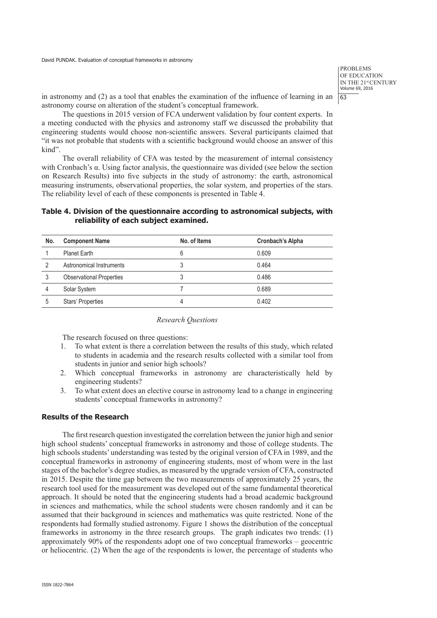in astronomy and (2) as a tool that enables the examination of the influence of learning in an astronomy course on alteration of the student's conceptual framework.

The questions in 2015 version of FCA underwent validation by four content experts. In a meeting conducted with the physics and astronomy staff we discussed the probability that engineering students would choose non-scientific answers. Several participants claimed that "it was not probable that students with a scientific background would choose an answer of this kind".

The overall reliability of CFA was tested by the measurement of internal consistency with Cronbach's α. Using factor analysis, the questionnaire was divided (see below the section on Research Results) into five subjects in the study of astronomy: the earth, astronomical measuring instruments, observational properties, the solar system, and properties of the stars. The reliability level of each of these components is presented in Table 4.

## **Table 4. Division of the questionnaire according to astronomical subjects, with reliability of each subject examined.**

| No. | <b>Component Name</b>           | No. of Items | <b>Cronbach's Alpha</b> |
|-----|---------------------------------|--------------|-------------------------|
|     | <b>Planet Earth</b>             | 6            | 0.609                   |
| 2   | Astronomical Instruments        | 3            | 0.464                   |
| 3   | <b>Observational Properties</b> | 3            | 0.486                   |
| 4   | Solar System                    |              | 0.689                   |
| 5   | <b>Stars' Properties</b>        | 4            | 0.402                   |

#### *Research Questions*

The research focused on three questions:

- 1. To what extent is there a correlation between the results of this study, which related to students in academia and the research results collected with a similar tool from students in junior and senior high schools?
- 2. Which conceptual frameworks in astronomy are characteristically held by engineering students?
- 3. To what extent does an elective course in astronomy lead to a change in engineering students' conceptual frameworks in astronomy?

## **Results of the Research**

The first research question investigated the correlation between the junior high and senior high school students' conceptual frameworks in astronomy and those of college students. The high schools students' understanding was tested by the original version of CFA in 1989, and the conceptual frameworks in astronomy of engineering students, most of whom were in the last stages of the bachelor's degree studies, as measured by the upgrade version of CFA, constructed in 2015. Despite the time gap between the two measurements of approximately 25 years, the research tool used for the measurement was developed out of the same fundamental theoretical approach. It should be noted that the engineering students had a broad academic background in sciences and mathematics, while the school students were chosen randomly and it can be assumed that their background in sciences and mathematics was quite restricted. None of the respondents had formally studied astronomy. Figure 1 shows the distribution of the conceptual frameworks in astronomy in the three research groups. The graph indicates two trends: (1) approximately 90% of the respondents adopt one of two conceptual frameworks – geocentric or heliocentric. (2) When the age of the respondents is lower, the percentage of students who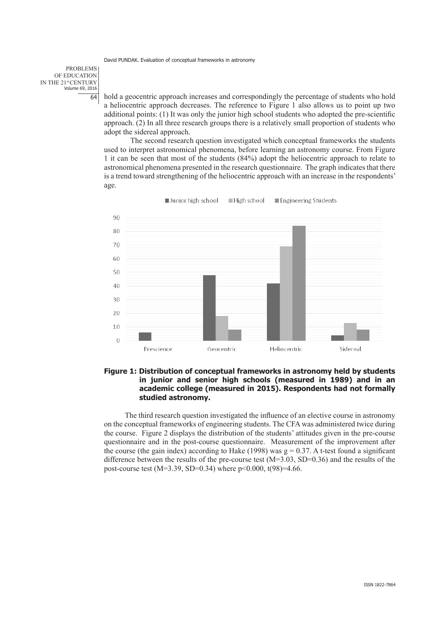PROBLEMS OF EDUCATION IN THE 21st CENTURY Volume 69, 2016 64

hold a geocentric approach increases and correspondingly the percentage of students who hold a heliocentric approach decreases. The reference to Figure 1 also allows us to point up two additional points: (1) It was only the junior high school students who adopted the pre-scientific approach. (2) In all three research groups there is a relatively small proportion of students who adopt the sidereal approach.

The second research question investigated which conceptual frameworks the students used to interpret astronomical phenomena, before learning an astronomy course. From Figure 1 it can be seen that most of the students (84%) adopt the heliocentric approach to relate to astronomical phenomena presented in the research questionnaire. The graph indicates that there is a trend toward strengthening of the heliocentric approach with an increase in the respondents' age.



Junior high school High school Engineering Students

## **Figure 1: Distribution of conceptual frameworks in astronomy held by students in junior and senior high schools (measured in 1989) and in an academic college (measured in 2015). Respondents had not formally studied astronomy.**

The third research question investigated the influence of an elective course in astronomy on the conceptual frameworks of engineering students. The CFA was administered twice during the course. Figure 2 displays the distribution of the students' attitudes given in the pre-course questionnaire and in the post-course questionnaire. Measurement of the improvement after the course (the gain index) according to Hake (1998) was  $g = 0.37$ . A t-test found a significant difference between the results of the pre-course test (M=3.03, SD=0.36) and the results of the post-course test (M=3.39, SD=0.34) where  $p<0.000$ , t(98)=4.66.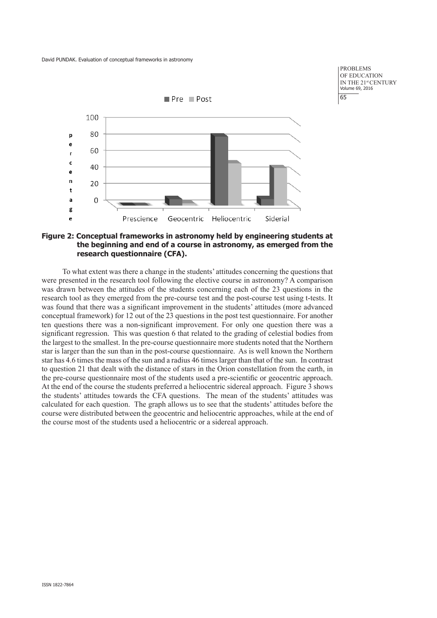



## **Figure 2: Conceptual frameworks in astronomy held by engineering students at the beginning and end of a course in astronomy, as emerged from the research questionnaire (CFA).**

To what extent was there a change in the students' attitudes concerning the questions that were presented in the research tool following the elective course in astronomy? A comparison was drawn between the attitudes of the students concerning each of the 23 questions in the research tool as they emerged from the pre-course test and the post-course test using t-tests. It was found that there was a significant improvement in the students' attitudes (more advanced conceptual framework) for 12 out of the 23 questions in the post test questionnaire. For another ten questions there was a non-significant improvement. For only one question there was a significant regression. This was question 6 that related to the grading of celestial bodies from the largest to the smallest. In the pre-course questionnaire more students noted that the Northern star is larger than the sun than in the post-course questionnaire. As is well known the Northern star has 4.6 times the mass of the sun and a radius 46 times larger than that of the sun. In contrast to question 21 that dealt with the distance of stars in the Orion constellation from the earth, in the pre-course questionnaire most of the students used a pre-scientific or geocentric approach. At the end of the course the students preferred a heliocentric sidereal approach. Figure 3 shows the students' attitudes towards the CFA questions. The mean of the students' attitudes was calculated for each question. The graph allows us to see that the students' attitudes before the course were distributed between the geocentric and heliocentric approaches, while at the end of the course most of the students used a heliocentric or a sidereal approach.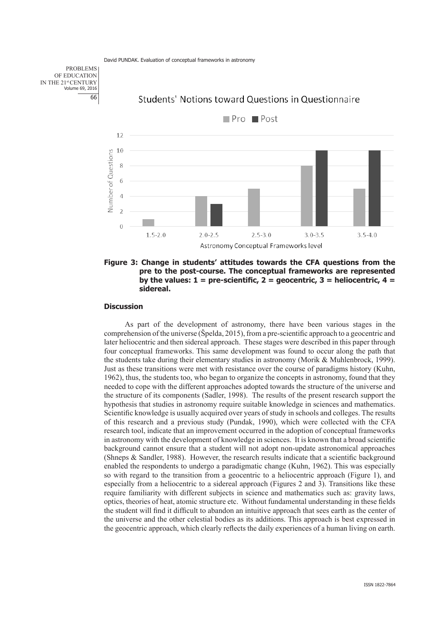PROBLEMS OF EDUCATION IN THE 21st CENTURY Volume 69, 2016 66



# Students' Notions toward Questions in Questionnaire

**Figure 3: Change in students' attitudes towards the CFA questions from the pre to the post-course. The conceptual frameworks are represented**  by the values:  $1 =$  pre-scientific,  $2 =$  geocentric,  $3 =$  heliocentric,  $4 =$ **sidereal.**

#### **Discussion**

As part of the development of astronomy, there have been various stages in the comprehension of the universe (Špelda, 2015), from a pre-scientific approach to a geocentric and later heliocentric and then sidereal approach. These stages were described in this paper through four conceptual frameworks. This same development was found to occur along the path that the students take during their elementary studies in astronomy (Morik & Muhlenbrock, 1999). Just as these transitions were met with resistance over the course of paradigms history (Kuhn, 1962), thus, the students too, who began to organize the concepts in astronomy, found that they needed to cope with the different approaches adopted towards the structure of the universe and the structure of its components (Sadler, 1998). The results of the present research support the hypothesis that studies in astronomy require suitable knowledge in sciences and mathematics. Scientific knowledge is usually acquired over years of study in schools and colleges. The results of this research and a previous study (Pundak, 1990), which were collected with the CFA research tool, indicate that an improvement occurred in the adoption of conceptual frameworks in astronomy with the development of knowledge in sciences. It is known that a broad scientific background cannot ensure that a student will not adopt non-update astronomical approaches (Shneps  $&$  Sandler, 1988). However, the research results indicate that a scientific background enabled the respondents to undergo a paradigmatic change (Kuhn, 1962). This was especially so with regard to the transition from a geocentric to a heliocentric approach (Figure 1), and especially from a heliocentric to a sidereal approach (Figures 2 and 3). Transitions like these require familiarity with different subjects in science and mathematics such as: gravity laws, optics, theories of heat, atomic structure etc. Without fundamental understanding in these fields the student will find it difficult to abandon an intuitive approach that sees earth as the center of the universe and the other celestial bodies as its additions. This approach is best expressed in the geocentric approach, which clearly reflects the daily experiences of a human living on earth.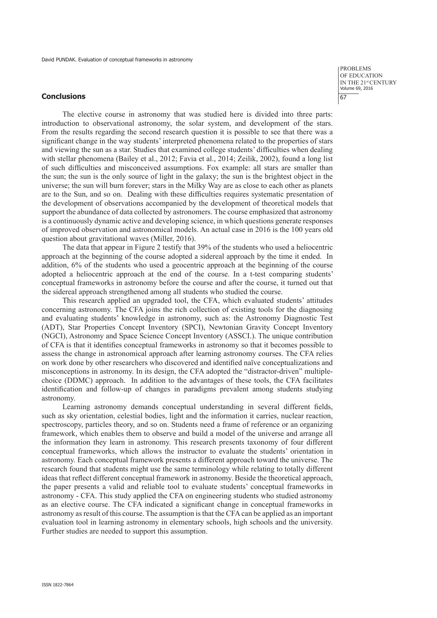#### **Conclusions**

PROBLEMS OF EDUCATION IN THE 21st CENTURY Volume 69, 2016 67

The elective course in astronomy that was studied here is divided into three parts: introduction to observational astronomy, the solar system, and development of the stars. From the results regarding the second research question it is possible to see that there was a significant change in the way students' interpreted phenomena related to the properties of stars and viewing the sun as a star. Studies that examined college students' difficulties when dealing with stellar phenomena (Bailey et al., 2012; Favia et al., 2014; Zeilik, 2002), found a long list of such difficulties and misconceived assumptions. Fox example: all stars are smaller than the sun; the sun is the only source of light in the galaxy; the sun is the brightest object in the universe; the sun will burn forever; stars in the Milky Way are as close to each other as planets are to the Sun, and so on. Dealing with these difficulties requires systematic presentation of the development of observations accompanied by the development of theoretical models that support the abundance of data collected by astronomers. The course emphasized that astronomy is a continuously dynamic active and developing science, in which questions generate responses of improved observation and astronomical models. An actual case in 2016 is the 100 years old question about gravitational waves (Miller, 2016).

The data that appear in Figure 2 testify that 39% of the students who used a heliocentric approach at the beginning of the course adopted a sidereal approach by the time it ended. In addition, 6% of the students who used a geocentric approach at the beginning of the course adopted a heliocentric approach at the end of the course. In a t-test comparing students' conceptual frameworks in astronomy before the course and after the course, it turned out that the sidereal approach strengthened among all students who studied the course.

This research applied an upgraded tool, the CFA, which evaluated students' attitudes concerning astronomy. The CFA joins the rich collection of existing tools for the diagnosing and evaluating students' knowledge in astronomy, such as: the Astronomy Diagnostic Test (ADT), Star Properties Concept Inventory (SPCI), Newtonian Gravity Concept Inventory (NGCI), Astronomy and Space Science Concept Inventory (ASSCI.). The unique contribution of CFA is that it identifies conceptual frameworks in astronomy so that it becomes possible to assess the change in astronomical approach after learning astronomy courses. The CFA relies on work done by other researchers who discovered and identified naïve conceptualizations and misconceptions in astronomy. In its design, the CFA adopted the "distractor-driven" multiplechoice (DDMC) approach. In addition to the advantages of these tools, the CFA facilitates identification and follow-up of changes in paradigms prevalent among students studying astronomy.

Learning astronomy demands conceptual understanding in several different fields, such as sky orientation, celestial bodies, light and the information it carries, nuclear reaction, spectroscopy, particles theory, and so on. Students need a frame of reference or an organizing framework, which enables them to observe and build a model of the universe and arrange all the information they learn in astronomy. This research presents taxonomy of four different conceptual frameworks, which allows the instructor to evaluate the students' orientation in astronomy. Each conceptual framework presents a different approach toward the universe. The research found that students might use the same terminology while relating to totally different ideas that reflect different conceptual framework in astronomy. Beside the theoretical approach, the paper presents a valid and reliable tool to evaluate students' conceptual frameworks in astronomy - CFA. This study applied the CFA on engineering students who studied astronomy as an elective course. The CFA indicated a significant change in conceptual frameworks in astronomy as result of this course. The assumption is that the CFA can be applied as an important evaluation tool in learning astronomy in elementary schools, high schools and the university. Further studies are needed to support this assumption.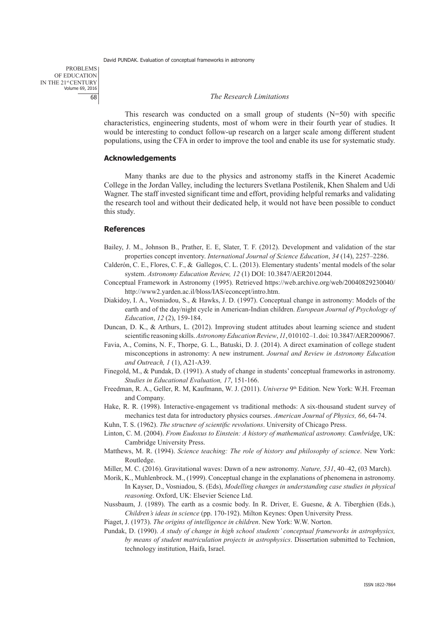#### *The Research Limitations*

This research was conducted on a small group of students  $(N=50)$  with specific characteristics, engineering students, most of whom were in their fourth year of studies. It would be interesting to conduct follow-up research on a larger scale among different student populations, using the CFA in order to improve the tool and enable its use for systematic study.

## **Acknowledgements**

Many thanks are due to the physics and astronomy staffs in the Kineret Academic College in the Jordan Valley, including the lecturers Svetlana Postilenik, Khen Shalem and Udi Wagner. The staff invested significant time and effort, providing helpful remarks and validating the research tool and without their dedicated help, it would not have been possible to conduct this study.

#### **References**

- Bailey, J. M., Johnson B., Prather, E. E, Slater, T. F. (2012). Development and validation of the star properties concept inventory. *International Journal of Science Education*, *34* (14), 2257–2286.
- Calderón, C. E., Flores, C. F., & Gallegos, C. L. (2013). Elementary students' mental models of the solar system. *Astronomy Education Review, 12* (1) DOI: 10.3847/AER2012044.
- Conceptual Framework in Astronomy (1995). Retrieved https://web.archive.org/web/20040829230040/ http://www2.yarden.ac.il/bloss/IAS/econcept/intro.htm.
- Diakidoy, I. A., Vosniadou, S., & Hawks, J. D. (1997). Conceptual change in astronomy: Models of the earth and of the day/night cycle in American-Indian children. *European Journal of Psychology of Education*, *12* (2), 159-184.
- Duncan, D. K., & Arthurs, L. (2012). Improving student attitudes about learning science and student scientific reasoning skills. *Astronomy Education Review*, *11*, 010102–1.doi: 10.3847/AER2009067.
- Favia, A., Comins, N. F., Thorpe, G. L., Batuski, D. J. (2014). A direct examination of college student misconceptions in astronomy: A new instrument. *Journal and Review in Astronomy Education and Outreach, 1* (1), A21-A39.
- Finegold, M., & Pundak, D. (1991). A study of change in students' conceptual frameworks in astronomy. *Studies in Educational Evaluation, 17*, 151-166.
- Freedman, R. A., Geller, R. M, Kaufmann, W. J. (2011). *Universe* 9th Edition. New York: W.H. Freeman and Company.
- Hake, R. R. (1998). Interactive-engagement vs traditional methods: A six-thousand student survey of mechanics test data for introductory physics courses. *American Journal of Physics, 66*, 64-74.
- Kuhn, T. S. (1962). *The structure of scientific revolutions*. University of Chicago Press.
- Linton, C. M. (2004). *From Eudoxus to Einstein: A history of mathematical astronomy. Cambridg*e, UK: Cambridge University Press.
- Matthews, M. R. (1994). *Science teaching: The role of history and philosophy of science*. New York: Routledge.
- Miller, M. C. (2016). Gravitational waves: Dawn of a new astronomy. *Nature, 531*, 40–42, (03 March).
- Morik, K., Muhlenbrock. M., (1999). Conceptual change in the explanations of phenomena in astronomy. In Kayser, D., Vosniadou, S. (Eds), *Modelling changes in understanding case studies in physical reasoning*. Oxford, UK: Elsevier Science Ltd.
- Nussbaum, J. (1989). The earth as a cosmic body. In R. Driver, E. Guesne, & A. Tiberghien (Eds.), *Children's ideas in science* (pp. 170-192). Milton Keynes: Open University Press.
- Piaget, J. (1973). *The origins of intelligence in children*. New York: W.W. Norton.
- Pundak, D. (1990). *A study of change in high school students' conceptual frameworks in astrophysics, by means of student matriculation projects in astrophysics*. Dissertation submitted to Technion, technology institution, Haifa, Israel.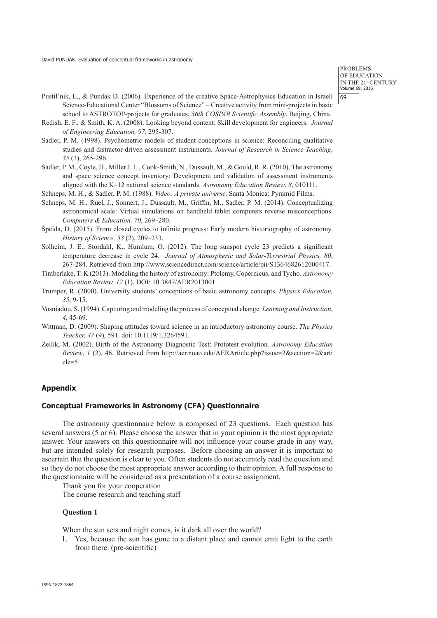- Pustil'nik, L., & Pundak D. (2006). Experience of the creative Space-Astrophysics Education in Israeli Science-Educational Center "Blossoms of Science" – Creative activity from mini-projects in basic school to ASTROTOP-projects for graduates, *36th COSPAR Scientific Assembly*, Beijing, China.
- Redish, E. F., & Smith, K. A. (2008). Looking beyond content: Skill development for engineers. *Journal of Engineering Education, 97*, 295-307.
- Sadler, P. M. (1998). Psychometric models of student conceptions in science: Reconciling qualitative studies and distractor-driven assessment instruments. *Journal of Research in Science Teaching*, *35* (3), 265-296.
- Sadler, P. M., Coyle, H., Miller J. L., Cook-Smith, N., Dussault, M., & Gould, R. R. (2010). The astronomy and space science concept inventory: Development and validation of assessment instruments aligned with the K–12 national science standards. *Astronomy Education Review*, *8*, 010111.
- Schneps, M. H., & Sadler, P. M. (1988). *Video: A private universe*. Santa Monica: Pyramid Films.
- Schneps, M. H., Ruel, J., Sonnert, J., Dussault, M., Griffin, M., Sadler, P. M. (2014). Conceptualizing astronomical scale: Virtual simulations on handheld tablet computers reverse misconceptions. *Computers & Education, 70*, 269–280.
- Špelda, D. (2015). From closed cycles to infinite progress: Early modern historiography of astronomy. *History of Science, 53* (2), 209–233.
- Solheim, J. E., Stordahl, K., Humlum, O. (2012). The long sunspot cycle 23 predicts a significant temperature decrease in cycle 24. *Journal of Atmospheric and Solar-Terrestrial Physics, 80*, 267-284. Retrieved from http://www.sciencedirect.com/science/article/pii/S1364682612000417.
- Timberlake, T. K (2013). Modeling the history of astronomy: Ptolemy, Copernicus, and Tycho. *Astronomy Education Review, 12* (1), DOI: 10.3847/AER2013001.
- Trumper, R. (2000). University students' conceptions of basic astronomy concepts. *Physics Education, 35*, 9-15.
- Vosniadou, S. (1994). Capturing and modeling the process of conceptual change. *Learning and Instruction*, *4*, 45-69.
- Wittman, D. (2009). Shaping attitudes toward science in an introductory astronomy course. *The Physics Teacher, 47* (9), 591. doi: 10.1119/1.3264591.
- Zeilik, M. (2002). Birth of the Astronomy Diagnostic Test: Prototest evolution. *Astronomy Education Review, 1* (2), 46. Retrieved from http://aer.noao.edu/AERArticle.php?issue=2&section=2&arti cle=5.

#### **Appendix**

#### **Conceptual Frameworks in Astronomy (CFA) Questionnaire**

The astronomy questionnaire below is composed of 23 questions. Each question has several answers (5 or 6). Please choose the answer that in your opinion is the most appropriate answer. Your answers on this questionnaire will not influence your course grade in any way, but are intended solely for research purposes. Before choosing an answer it is important to ascertain that the question is clear to you. Often students do not accurately read the question and so they do not choose the most appropriate answer according to their opinion. A full response to the questionnaire will be considered as a presentation of a course assignment.

Thank you for your cooperation

The course research and teaching staff

#### **Question 1**

When the sun sets and night comes, is it dark all over the world?

1. Yes, because the sun has gone to a distant place and cannot emit light to the earth from there. (pre-scientific)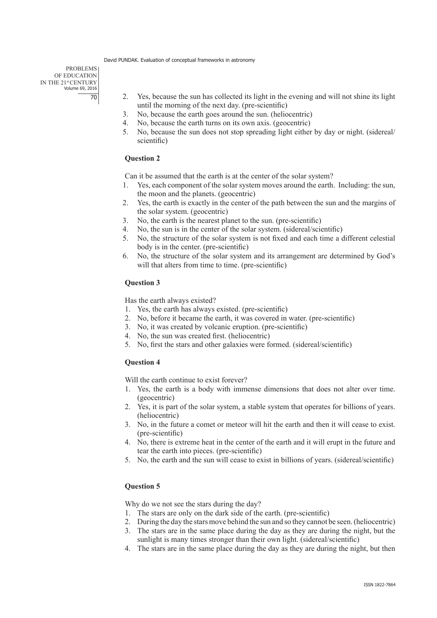PROBLEMS OF EDUCATION IN THE 21st CENTURY Volume 69, 2016 70

- 2. Yes, because the sun has collected its light in the evening and will not shine its light until the morning of the next day. (pre-scientific)
- 3. No, because the earth goes around the sun. (heliocentric)
- 4. No, because the earth turns on its own axis. (geocentric)
- 5. No, because the sun does not stop spreading light either by day or night. (sidereal/ scientific)

## **Question 2**

Can it be assumed that the earth is at the center of the solar system?

- 1. Yes, each component of the solar system moves around the earth. Including: the sun, the moon and the planets. (geocentric)
- 2. Yes, the earth is exactly in the center of the path between the sun and the margins of the solar system. (geocentric)
- 3. No, the earth is the nearest planet to the sun. (pre-scientific)
- 4. No, the sun is in the center of the solar system. (sidereal/scientific)
- 5. No, the structure of the solar system is not fixed and each time a different celestial body is in the center. (pre-scientific)
- 6. No, the structure of the solar system and its arrangement are determined by God's will that alters from time to time. (pre-scientific)

## **Question 3**

Has the earth always existed?

- 1. Yes, the earth has always existed. (pre-scientific)
- 2. No, before it became the earth, it was covered in water. (pre-scientific)
- 3. No, it was created by volcanic eruption. (pre-scientific)
- 4. No, the sun was created first. (heliocentric)
- 5. No, first the stars and other galaxies were formed. (sidereal/scientific)

## **Question 4**

Will the earth continue to exist forever?

- 1. Yes, the earth is a body with immense dimensions that does not alter over time. (geocentric)
- 2. Yes, it is part of the solar system, a stable system that operates for billions of years. (heliocentric)
- 3. No, in the future a comet or meteor will hit the earth and then it will cease to exist. (pre-scientific)
- 4. No, there is extreme heat in the center of the earth and it will erupt in the future and tear the earth into pieces. (pre-scientific)
- 5. No, the earth and the sun will cease to exist in billions of years. (sidereal/scientific)

## **Question 5**

Why do we not see the stars during the day?

- 1. The stars are only on the dark side of the earth. (pre-scientific)
- 2. During the day the stars move behind the sun and so they cannot be seen. (heliocentric)
- 3. The stars are in the same place during the day as they are during the night, but the sunlight is many times stronger than their own light. (sidereal/scientific)
- 4. The stars are in the same place during the day as they are during the night, but then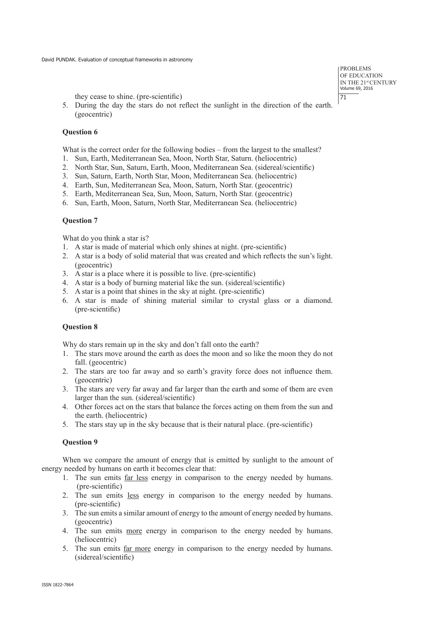they cease to shine. (pre-scientific)

5. During the day the stars do not reflect the sunlight in the direction of the earth. (geocentric)

## **Question 6**

What is the correct order for the following bodies – from the largest to the smallest?

- 1. Sun, Earth, Mediterranean Sea, Moon, North Star, Saturn. (heliocentric)
- 2. North Star, Sun, Saturn, Earth, Moon, Mediterranean Sea. (sidereal/scientific)
- 3. Sun, Saturn, Earth, North Star, Moon, Mediterranean Sea. (heliocentric)
- 4. Earth, Sun, Mediterranean Sea, Moon, Saturn, North Star. (geocentric)
- 5. Earth, Mediterranean Sea, Sun, Moon, Saturn, North Star. (geocentric)
- 6. Sun, Earth, Moon, Saturn, North Star, Mediterranean Sea. (heliocentric)

## **Question 7**

What do you think a star is?

- 1. A star is made of material which only shines at night. (pre-scientific)
- 2. A star is a body of solid material that was created and which reflects the sun's light. (geocentric)
- 3. A star is a place where it is possible to live. (pre-scientific)
- 4. A star is a body of burning material like the sun. (sidereal/scientific)
- 5. A star is a point that shines in the sky at night. (pre-scientific)
- 6. A star is made of shining material similar to crystal glass or a diamond. (pre-scientific)

## **Question 8**

Why do stars remain up in the sky and don't fall onto the earth?

- 1. The stars move around the earth as does the moon and so like the moon they do not fall. (geocentric)
- 2. The stars are too far away and so earth's gravity force does not influence them. (geocentric)
- 3. The stars are very far away and far larger than the earth and some of them are even larger than the sun. (sidereal/scientific)
- 4. Other forces act on the stars that balance the forces acting on them from the sun and the earth. (heliocentric)
- 5. The stars stay up in the sky because that is their natural place. (pre-scientific)

## **Question 9**

When we compare the amount of energy that is emitted by sunlight to the amount of energy needed by humans on earth it becomes clear that:

- 1. The sun emits far less energy in comparison to the energy needed by humans. (pre-scientific)
- 2. The sun emits less energy in comparison to the energy needed by humans. (pre-scientific)
- 3. The sun emits a similar amount of energy to the amount of energy needed by humans. (geocentric)
- 4. The sun emits more energy in comparison to the energy needed by humans. (heliocentric)
- 5. The sun emits far more energy in comparison to the energy needed by humans. (sidereal/scientific)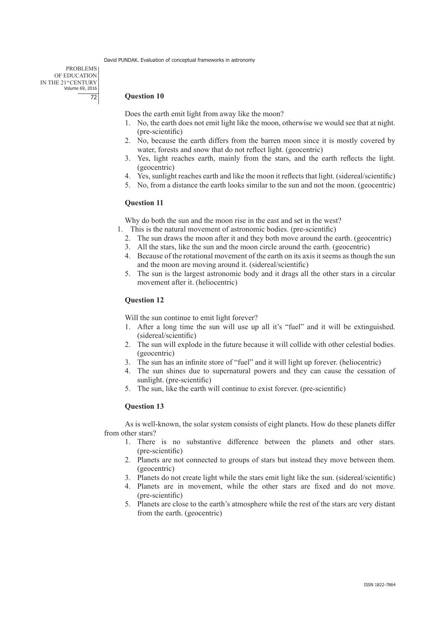PROBLEMS OF EDUCATION IN THE 21st CENTURY Volume 69, 2016 72

## **Question 10**

Does the earth emit light from away like the moon?

- 1. No, the earth does not emit light like the moon, otherwise we would see that at night. (pre-scientific)
- 2. No, because the earth differs from the barren moon since it is mostly covered by water, forests and snow that do not reflect light. (geocentric)
- 3. Yes, light reaches earth, mainly from the stars, and the earth reflects the light. (geocentric)
- 4. Yes, sunlight reaches earth and like the moon it reflects that light. (sidereal/scientific)
- 5. No, from a distance the earth looks similar to the sun and not the moon. (geocentric)

## **Question 11**

Why do both the sun and the moon rise in the east and set in the west?

- 1. This is the natural movement of astronomic bodies. (pre-scientific)
- 2. The sun draws the moon after it and they both move around the earth. (geocentric)
- 3. All the stars, like the sun and the moon circle around the earth. (geocentric)
- 4. Because of the rotational movement of the earth on its axis it seems as though the sun and the moon are moving around it. (sidereal/scientific)
- 5. The sun is the largest astronomic body and it drags all the other stars in a circular movement after it. (heliocentric)

## **Question 12**

Will the sun continue to emit light forever?

- 1. After a long time the sun will use up all it's "fuel" and it will be extinguished. (sidereal/scientific)
- 2. The sun will explode in the future because it will collide with other celestial bodies. (geocentric)
- 3. The sun has an infinite store of "fuel" and it will light up forever. (heliocentric)
- 4. The sun shines due to supernatural powers and they can cause the cessation of sunlight. (pre-scientific)
- 5. The sun, like the earth will continue to exist forever. (pre-scientific)

## **Question 13**

As is well-known, the solar system consists of eight planets. How do these planets differ from other stars?

- 1. There is no substantive difference between the planets and other stars. (pre-scientific)
- 2. Planets are not connected to groups of stars but instead they move between them. (geocentric)
- 3. Planets do not create light while the stars emit light like the sun. (sidereal/scientific)
- 4. Planets are in movement, while the other stars are fixed and do not move. (pre-scientific)
- 5. Planets are close to the earth's atmosphere while the rest of the stars are very distant from the earth. (geocentric)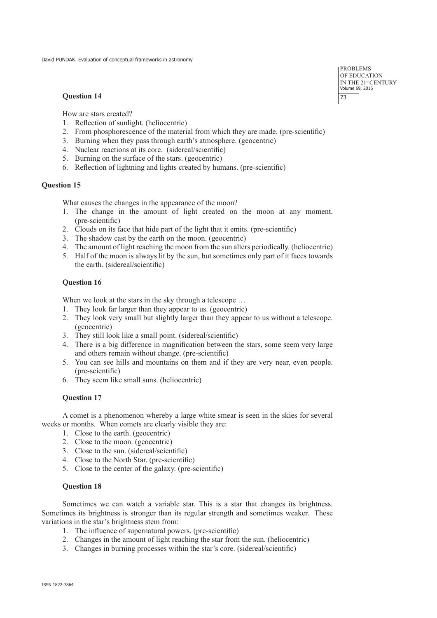#### **Question 14**

How are stars created?

- 1. Reflection of sunlight. (heliocentric)
- 2. From phosphorescence of the material from which they are made. (pre-scientific)
- 3. Burning when they pass through earth's atmosphere. (geocentric)
- 4. Nuclear reactions at its core. (sidereal/scientific)
- 5. Burning on the surface of the stars. (geocentric)
- 6. Reflection of lightning and lights created by humans. (pre-scientific)

## **Question 15**

What causes the changes in the appearance of the moon?

- 1. The change in the amount of light created on the moon at any moment. (pre-scientific)
- 2. Clouds on its face that hide part of the light that it emits. (pre-scientific)
- 3. The shadow cast by the earth on the moon. (geocentric)
- 4. The amount of light reaching the moon from the sun alters periodically. (heliocentric)
- 5. Half of the moon is always lit by the sun, but sometimes only part of it faces towards the earth. (sidereal/scientific)

## **Question 16**

When we look at the stars in the sky through a telescope ...

- 1. They look far larger than they appear to us. (geocentric)
- 2. They look very small but slightly larger than they appear to us without a telescope. (geocentric)
- 3. They still look like a small point. (sidereal/scientific)
- 4. There is a big difference in magnification between the stars, some seem very large and others remain without change. (pre-scientific)
- 5. You can see hills and mountains on them and if they are very near, even people. (pre-scientific)
- 6. They seem like small suns. (heliocentric)

## **Question 17**

A comet is a phenomenon whereby a large white smear is seen in the skies for several weeks or months. When comets are clearly visible they are:

- 1. Close to the earth. (geocentric)
- 2. Close to the moon. (geocentric)
- 3. Close to the sun. (sidereal/scientific)
- 4. Close to the North Star. (pre-scientific)
- 5. Close to the center of the galaxy. (pre-scientific)

## **Question 18**

Sometimes we can watch a variable star. This is a star that changes its brightness. Sometimes its brightness is stronger than its regular strength and sometimes weaker. These variations in the star's brightness stem from:

- 1. The influence of supernatural powers. (pre-scientific)
- 2. Changes in the amount of light reaching the star from the sun. (heliocentric)
- 3. Changes in burning processes within the star's core. (sidereal/scientific)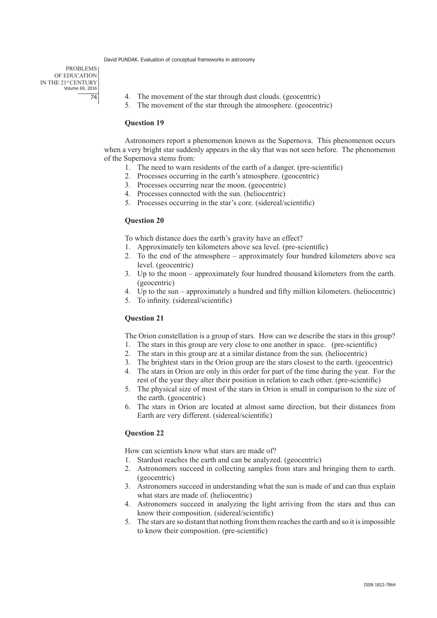PROBLEMS OF EDUCATION IN THE 21st CENTURY Volume 69, 2016 74

- 4. The movement of the star through dust clouds. (geocentric)
- 5. The movement of the star through the atmosphere. (geocentric)

#### **Question 19**

Astronomers report a phenomenon known as the Supernova. This phenomenon occurs when a very bright star suddenly appears in the sky that was not seen before. The phenomenon of the Supernova stems from:

- 1. The need to warn residents of the earth of a danger. (pre-scientific)
- 2. Processes occurring in the earth's atmosphere. (geocentric)
- 3. Processes occurring near the moon. (geocentric)
- 4. Processes connected with the sun. (heliocentric)
- 5. Processes occurring in the star's core. (sidereal/scientific)

#### **Question 20**

To which distance does the earth's gravity have an effect?

- 1. Approximately ten kilometers above sea level. (pre-scientific)
- 2. To the end of the atmosphere approximately four hundred kilometers above sea level. (geocentric)
- 3. Up to the moon approximately four hundred thousand kilometers from the earth. (geocentric)
- 4. Up to the sun approximately a hundred and fifty million kilometers. (heliocentric)
- 5. To infinity. (sidereal/scientific)

#### **Question 21**

The Orion constellation is a group of stars. How can we describe the stars in this group?

- 1. The stars in this group are very close to one another in space. (pre-scientific)
- 2. The stars in this group are at a similar distance from the sun. (heliocentric)
- 3. The brightest stars in the Orion group are the stars closest to the earth. (geocentric)
- 4. The stars in Orion are only in this order for part of the time during the year. For the rest of the year they alter their position in relation to each other. (pre-scientific)
- 5. The physical size of most of the stars in Orion is small in comparison to the size of the earth. (geocentric)
- 6. The stars in Orion are located at almost same direction, but their distances from Earth are very different. (sidereal/scientific)

#### **Question 22**

How can scientists know what stars are made of?

- 1. Stardust reaches the earth and can be analyzed. (geocentric)
- 2. Astronomers succeed in collecting samples from stars and bringing them to earth. (geocentric)
- 3. Astronomers succeed in understanding what the sun is made of and can thus explain what stars are made of. (heliocentric)
- 4. Astronomers succeed in analyzing the light arriving from the stars and thus can know their composition. (sidereal/scientific)
- 5. The stars are so distant that nothing from them reaches the earth and so it is impossible to know their composition. (pre-scientific)